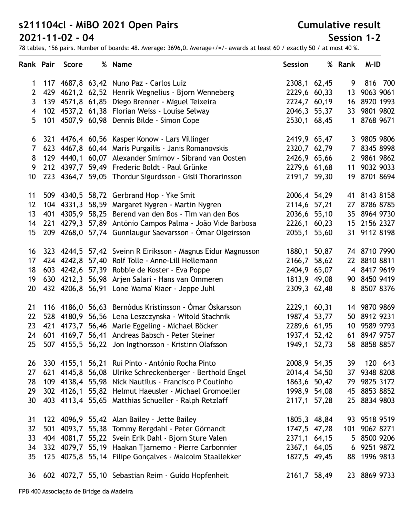#### **Cumulative result**

### **Session 1-2**

| <b>Rank Pair</b> | <b>Score</b> | % Name                                                          | <b>Session</b> | % Rank | M-ID         |
|------------------|--------------|-----------------------------------------------------------------|----------------|--------|--------------|
| $\mathbf 1$      |              | 117 4687,8 63,42 Nuno Paz - Carlos Luiz                         | 2308,1 62,45   | 9      | 816 700      |
| $\mathbf{2}$     |              | 429 4621,2 62,52 Henrik Wegnelius - Bjorn Wenneberg             | 2229,6 60,33   |        | 13 9063 9061 |
| 3                |              | 139 4571,8 61,85 Diego Brenner - Miguel Teixeira                | 2224,7 60,19   |        | 16 8920 1993 |
| 4                |              | 102 4537,2 61,38 Florian Weiss - Louise Selway                  | 2046,3 55,37   |        | 33 9801 9802 |
| 5                |              | 101 4507,9 60,98 Dennis Bilde - Simon Cope                      | 2530,1 68,45   | 1      | 8768 9671    |
| 6                |              | 321 4476,4 60,56 Kasper Konow - Lars Villinger                  | 2419,9 65,47   |        | 3 9805 9806  |
| 7                |              | 623 4467,8 60,44 Maris Purgailis - Janis Romanovskis            | 2320,7 62,79   |        | 7 8345 8998  |
| 8                |              | 129 4440,1 60,07 Alexander Smirnov - Sibrand van Oosten         | 2426,9 65,66   |        | 2 9861 9862  |
| 9                |              | 212 4397,7 59,49 Frederic Boldt - Paul Grünke                   | 2279,6 61,68   |        | 11 9032 9033 |
| 10               |              | 223 4364,7 59,05 Thordur Sigurdsson - Gisli Thorarinsson        | 2191,7 59,30   |        | 19 8701 8694 |
| 11               |              | 509 4340,5 58,72 Gerbrand Hop - Yke Smit                        | 2006,4 54,29   |        | 41 8143 8158 |
| 12               | 104 4331,3   | 58,59 Margaret Nygren - Martin Nygren                           | 2114,6 57,21   |        | 27 8786 8785 |
| 13               |              | 401 4305,9 58,25 Berend van den Bos - Tim van den Bos           | 2036,6 55,10   |        | 35 8964 9730 |
| 14               |              | 221 4279,3 57,89 António Campos Palma - João Vide Barbosa       | 2226,1 60,23   |        | 15 2156 2327 |
| 15               |              | 209 4268,0 57,74 Gunnlaugur Saevarsson - Ómar Olgeirsson        | 2055,1 55,60   |        | 31 9112 8198 |
|                  |              | 16 323 4244,5 57,42 Sveinn R Eiriksson - Magnus Eidur Magnusson | 1880,1 50,87   |        | 74 8710 7990 |
| 17               |              | 424 4242,8 57,40 Rolf Tolle - Anne-Lill Hellemann               | 2166,7 58,62   |        | 22 8810 8811 |
| 18               |              | 603 4242,6 57,39 Robbie de Koster - Eva Poppe                   | 2404,9 65,07   |        | 4 8417 9619  |
| 19               |              | 630 4212,3 56,98 Arjen Salari - Hans van Ommeren                | 1813,9 49,08   |        | 90 8450 9419 |
| 20               |              | 432 4206,8 56,91 Lone 'Mama' Kiaer - Jeppe Juhl                 | 2309,3 62,48   |        | 8 8507 8376  |
| 21               |              | 116 4186,0 56,63 Bernódus Kristinsson - Ómar Óskarsson          | 2229,1 60,31   |        | 14 9870 9869 |
| 22               |              | 528 4180,9 56,56 Lena Leszczynska - Witold Stachnik             | 1987,4 53,77   |        | 50 8912 9231 |
| 23               |              | 421 4173,7 56,46 Marie Eggeling - Michael Böcker                | 2289,6 61,95   |        | 10 9589 9793 |
| 24               |              | 601 4169,7 56,41 Andreas Babsch - Peter Steiner                 | 1937,4 52,42   |        | 61 8947 9757 |
| 25               |              | 507 4155,5 56,22 Jon Ingthorsson - Kristinn Olafsson            | 1949,1 52,73   |        | 58 8858 8857 |
| 26               |              | 330 4155,1 56,21 Rui Pinto - António Rocha Pinto                | 2008,9 54,35   | 39     | 120 643      |
| 27               |              | 621 4145,8 56,08 Ulrike Schreckenberger - Berthold Engel        | 2014,4 54,50   |        | 37 9348 8208 |
| 28               |              | 109 4138,4 55,98 Nick Nautilus - Francisco P Coutinho           | 1863,6 50,42   |        | 79 9825 3172 |
| 29               |              | 302 4126,1 55,82 Helmut Haeusler - Michael Gromoeller           | 1998,9 54,08   |        | 45 8853 8852 |
| 30               |              | 403 4113,4 55,65 Matthias Schueller - Ralph Retzlaff            | 2117,1 57,28   |        | 25 8834 9803 |
| 31               |              | 122 4096,9 55,42 Alan Bailey - Jette Bailey                     | 1805,3 48,84   |        | 93 9518 9519 |
| 32               |              | 501 4093,7 55,38 Tommy Bergdahl - Peter Görnandt                | 1747,5 47,28   | 101    | 9062 8271    |
| 33               |              | 404 4081,7 55,22 Svein Erik Dahl - Bjorn Sture Valen            | 2371,1 64,15   |        | 5 8500 9206  |
| 34               |              | 332 4079,7 55,19 Haakan Tjarnemo - Pierre Carbonnier            | 2367,1 64,05   |        | 6 9251 9872  |
| 35               |              | 125 4075,8 55,14 Filipe Gonçalves - Malcolm Staallekker         | 1827,5 49,45   |        | 88 1996 9813 |
|                  |              | 36 602 4072,7 55,10 Sebastian Reim - Guido Hopfenheit           | 2161,7 58,49   |        | 23 8869 9733 |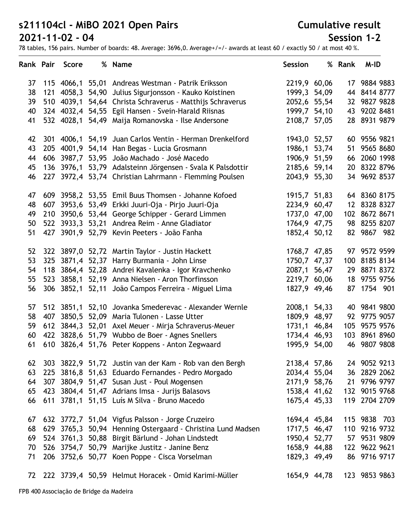**Cumulative result**

### **Session 1-2**

|    |     | Rank Pair Score | % Name                                                  | <b>Session</b> | % Rank | M-ID          |
|----|-----|-----------------|---------------------------------------------------------|----------------|--------|---------------|
| 37 |     |                 | 115 4066,1 55,01 Andreas Westman - Patrik Eriksson      | 2219,9 60,06   |        | 17 9884 9883  |
| 38 |     | 121 4058,3      | 54,90 Julius Sigurjonsson - Kauko Koistinen             | 1999,3 54,09   |        | 44 8414 8777  |
| 39 |     | 510 4039,1      | 54,64 Christa Schraverus - Matthijs Schraverus          | 2052,6 55,54   |        | 32 9827 9828  |
| 40 |     |                 | 324 4032,4 54,55 Egil Hansen - Svein-Harald Riisnas     | 1999,7 54,10   |        | 43 9202 8481  |
| 41 |     |                 | 532 4028,1 54,49 Maija Romanovska - Ilse Andersone      | 2108,7 57,05   |        | 28 8931 9879  |
| 42 |     | 301 4006,1      | 54,19 Juan Carlos Ventin - Herman Drenkelford           | 1943,0 52,57   |        | 60 9556 9821  |
| 43 |     |                 | 205 4001,9 54,14 Han Begas - Lucia Grosmann             | 1986,1 53,74   | 51     | 9565 8680     |
| 44 |     |                 | 606 3987,7 53,95 João Machado - José Macedo             | 1906,9 51,59   |        | 66 2060 1998  |
| 45 |     | 136 3976,1      | 53,79 Adalsteinn Jörgensen - Svala K Palsdottir         | 2185,6 59,14   |        | 20 8322 8796  |
| 46 |     |                 | 227 3972,4 53,74 Christian Lahrmann - Flemming Poulsen  | 2043,9 55,30   |        | 34 9692 8537  |
| 47 |     |                 | 609 3958,2 53,55 Emil Buus Thomsen - Johanne Kofoed     | 1915,7 51,83   |        | 64 8360 8175  |
| 48 |     |                 | 607 3953,6 53,49 Erkki Juuri-Oja - Pirjo Juuri-Oja      | 2234,9 60,47   |        | 12 8328 8327  |
| 49 |     |                 | 210 3950,6 53,44 George Schipper - Gerard Limmen        | 1737,0 47,00   |        | 102 8672 8671 |
| 50 |     |                 | 522 3933,3 53,21 Andrea Reim - Anne Gladiator           | 1764,9 47,75   |        | 98 8255 8207  |
| 51 |     |                 | 427 3901,9 52,79 Kevin Peeters - João Fanha             | 1852,4 50,12   |        | 82 9867 982   |
| 52 |     |                 | 322 3897,0 52,72 Martin Taylor - Justin Hackett         | 1768,7 47,85   |        | 97 9572 9599  |
| 53 | 325 |                 | 3871,4 52,37 Harry Burmania - John Linse                | 1750,7 47,37   |        | 100 8185 8134 |
| 54 |     |                 | 118 3864,4 52,28 Andrei Kavalenka - Igor Kravchenko     | 2087,1 56,47   |        | 29 8871 8372  |
| 55 |     |                 | 523 3858,1 52,19 Anna Nielsen - Aron Thorfinsson        | 2219,7 60,06   |        | 18 9755 9756  |
| 56 |     |                 | 306 3852,1 52,11 João Campos Ferreira - Miguel Lima     | 1827,9 49,46   |        | 87 1754 901   |
| 57 |     | 512 3851,1      | 52,10 Jovanka Smederevac - Alexander Wernle             | 2008,1 54,33   |        | 40 9841 9800  |
| 58 | 407 | 3850,5          | 52,09 Maria Tulonen - Lasse Utter                       | 1809,9 48,97   |        | 92 9775 9057  |
| 59 |     |                 | 612 3844,3 52,01 Axel Meuer - Mirja Schraverus-Meuer    | 1731,1 46,84   |        | 105 9575 9576 |
| 60 |     |                 | 422 3828,6 51,79 Wubbo de Boer - Agnes Snellers         | 1734,4 46,93   |        | 103 8961 8960 |
| 61 |     |                 | 610 3826,4 51,76 Peter Koppens - Anton Zegwaard         | 1995,9 54,00   |        | 46 9807 9808  |
| 62 |     |                 | 303 3822,9 51,72 Justin van der Kam - Rob van den Bergh | 2138,4 57,86   |        | 24 9052 9213  |
| 63 |     |                 | 225 3816,8 51,63 Eduardo Fernandes - Pedro Morgado      | 2034,4 55,04   | 36     | 2829 2062     |
| 64 |     |                 | 307 3804,9 51,47 Susan Just - Poul Mogensen             | 2171,9 58,76   | 21     | 9796 9797     |
| 65 |     |                 | 423 3804,4 51,47 Adrians Imsa - Jurijs Balasovs         | 1538,4 41,62   |        | 132 9015 9768 |
| 66 |     |                 | 611 3781,1 51,15 Luís M Silva - Bruno Macedo            | 1675,4 45,33   |        | 119 2704 2709 |
| 67 |     |                 | 632 3772,7 51,04 Vigfus Palsson - Jorge Cruzeiro        | 1694,4 45,84   |        | 115 9838 703  |
| 68 |     | 629 3765,3      | 50,94 Henning Ostergaard - Christina Lund Madsen        | 1717,5 46,47   |        | 110 9216 9732 |
| 69 |     | 524 3761,3      | 50,88 Birgit Bärlund - Johan Lindstedt                  | 1950,4 52,77   |        | 57 9531 9809  |
| 70 |     | 526 3754,7      | 50,79 Marijke Justitz - Janine Benz                     | 1658,9 44,88   |        | 122 9622 9621 |
| 71 |     |                 | 206 3752,6 50,77 Koen Poppe - Cisca Vorselman           | 1829,3 49,49   |        | 86 9716 9717  |
| 72 |     |                 | 222 3739,4 50,59 Helmut Horacek - Omid Karimi-Müller    | 1654,9 44,78   |        | 123 9853 9863 |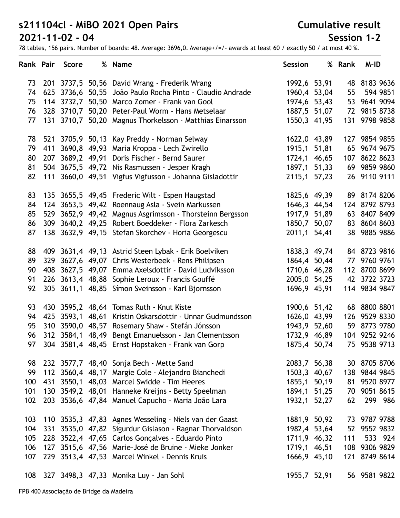#### **Cumulative result**

### **Session 1-2**

| Rank Pair |     | <b>Score</b> | % Name                                                   | <b>Session</b> | % Rank | M-ID          |
|-----------|-----|--------------|----------------------------------------------------------|----------------|--------|---------------|
| 73        |     |              | 201 3737,5 50,56 David Wrang - Frederik Wrang            | 1992,6 53,91   |        | 48 8183 9636  |
| 74        |     | 625 3736,6   | 50,55 João Paulo Rocha Pinto - Claudio Andrade           | 1960,4 53,04   | 55     | 594 9851      |
| 75        |     | 114 3732,7   | 50,50 Marco Zomer - Frank van Gool                       | 1974,6 53,43   |        | 53 9641 9094  |
| 76        |     | 328 3710,7   | 50,20 Peter-Paul Worm - Hans Metselaar                   | 1887,5 51,07   |        | 72 9815 8738  |
| 77        |     | 131 3710,7   | 50,20 Magnus Thorkelsson - Matthias Einarsson            | 1550,3 41,95   | 131    | 9798 9858     |
| 78        |     |              | 521 3705,9 50,13 Kay Preddy - Norman Selway              | 1622,0 43,89   |        | 127 9854 9855 |
| 79        |     |              | 411 3690,8 49,93 Maria Kroppa - Lech Zwirello            | 1915,1 51,81   |        | 65 9674 9675  |
| 80        |     |              | 207 3689,2 49,91 Doris Fischer - Bernd Saurer            | 1724,1 46,65   | 107    | 8622 8623     |
| 81        |     |              | 504 3675,5 49,72 Nis Rasmussen - Jesper Kragh            | 1897,1 51,33   |        | 69 9859 9860  |
| 82        |     |              | 111 3660,0 49,51 Vigfus Vigfusson - Johanna Gisladottir  | 2115,1 57,23   |        | 26 9110 9111  |
| 83        |     |              | 135 3655,5 49,45 Frederic Wilt - Espen Haugstad          | 1825,6 49,39   |        | 89 8174 8206  |
| 84        |     |              | 124 3653,5 49,42 Roennaug Asla - Svein Markussen         | 1646,3 44,54   |        | 124 8792 8793 |
| 85        |     |              | 529 3652,9 49,42 Magnus Asgrimsson - Thorsteinn Bergsson | 1917,9 51,89   |        | 63 8407 8409  |
| 86        |     |              | 309 3640,2 49,25 Robert Boeddeker - Flora Zarkesch       | 1850,7 50,07   |        | 83 8604 8603  |
| 87        |     |              | 138 3632,9 49,15 Stefan Skorchev - Horia Georgescu       | 2011,1 54,41   |        | 38 9885 9886  |
| 88        |     |              | 409 3631,4 49,13 Astrid Steen Lybak - Erik Boelviken     | 1838,3 49,74   |        | 84 8723 9816  |
| 89        | 329 |              | 3627,6 49,07 Chris Westerbeek - Rens Philipsen           | 1864,4 50,44   |        | 77 9760 9761  |
| 90        | 408 |              | 3627,5 49,07 Emma Axelsdottir - David Ludviksson         | 1710,6 46,28   |        | 112 8700 8699 |
| 91        |     |              | 226 3613,4 48,88 Sophie Leroux - Francis Gouffé          | 2005,0 54,25   |        | 42 3722 3723  |
| 92        |     |              | 305 3611,1 48,85 Símon Sveinsson - Karl Bjornsson        | 1696,9 45,91   |        | 114 9834 9847 |
| 93        |     |              | 430 3595,2 48,64 Tomas Ruth - Knut Kiste                 | 1900,6 51,42   |        | 68 8800 8801  |
| 94        | 425 |              | 3593,1 48,61 Kristin Oskarsdottir - Unnar Gudmundsson    | 1626,0 43,99   |        | 126 9529 8330 |
| 95        |     |              | 310 3590,0 48,57 Rosemary Shaw - Stefán Jónsson          | 1943,9 52,60   |        | 59 8773 9780  |
| 96        |     |              | 312 3584,1 48,49 Bengt Emanuelsson - Jan Clementsson     | 1732,9 46,89   |        | 104 9252 9246 |
| 97        |     |              | 304 3581,4 48,45 Ernst Hopstaken - Frank van Gorp        | 1875,4 50,74   |        | 75 9538 9713  |
| 98        |     |              | 232 3577,7 48,40 Sonja Bech - Mette Sand                 | 2083,7 56,38   |        | 30 8705 8706  |
| 99        |     |              | 112 3560,4 48,17 Margie Cole - Alejandro Bianchedi       | 1503,3 40,67   |        | 138 9844 9845 |
| 100       | 431 |              | 3550,1 48,03 Marcel Swidde - Tim Heeres                  | 1855,1 50,19   | 81     | 9520 8977     |
| 101       | 130 |              | 3549,2 48,01 Hanneke Kreijns - Betty Speelman            | 1894,1 51,25   | 70     | 9051 8615     |
| 102       |     |              | 203 3536,6 47,84 Manuel Capucho - Maria João Lara        | 1932,1 52,27   | 62     | 299 986       |
| 103       |     |              | 110 3535,3 47,83 Agnes Wesseling - Niels van der Gaast   | 1881,9 50,92   |        | 73 9787 9788  |
| 104       | 331 |              | 3535,0 47,82 Sigurdur Gislason - Ragnar Thorvaldson      | 1982,4 53,64   | 52     | 9552 9832     |
| 105       | 228 |              | 3522,4 47,65 Carlos Gonçalves - Eduardo Pinto            | 1711,9 46,32   | 111    | 533 924       |
| 106       |     |              | 127 3515,6 47,56 Marie-José de Bruine - Mieke Jonker     | 1719,1 46,51   |        | 108 9306 9829 |
| 107       |     |              | 229 3513,4 47,53 Marcel Winkel - Dennis Kruis            | 1666,9 45,10   |        | 121 8749 8614 |
| 108       |     |              | 327 3498,3 47,33 Monika Luy - Jan Sohl                   | 1955,7 52,91   |        | 56 9581 9822  |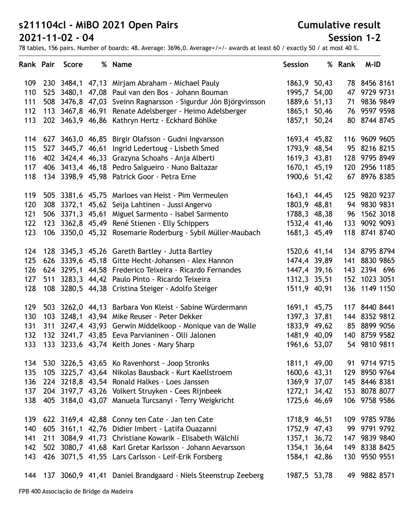**Cumulative result**

### **Session 1-2**

| Rank Pair |     | Score | % Name                                                            | <b>Session</b> | % Rank | M-ID          |
|-----------|-----|-------|-------------------------------------------------------------------|----------------|--------|---------------|
| 109       |     |       | 230 3484,1 47,13 Mirjam Abraham - Michael Pauly                   | 1863,9 50,43   |        | 78 8456 8161  |
| 110       |     |       | 525 3480,1 47,08 Paul van den Bos - Johann Bouman                 | 1995,7 54,00   | 47     | 9729 9731     |
| 111       |     |       | 508 3476,8 47,03 Sveinn Ragnarsson - Sigurdur Jón Björgvinsson    | 1889,6 51,13   |        | 71 9836 9849  |
| 112       |     |       | 113 3467,8 46,91 Renate Adelsberger - Heimo Adelsberger           | 1865,1 50,46   |        | 76 9597 9598  |
| 113       |     |       | 202 3463,9 46,86 Kathryn Hertz - Eckhard Böhlke                   | 1857,1 50,24   |        | 80 8744 8745  |
|           |     |       | 114 627 3463,0 46,85 Birgir Olafsson - Gudni Ingvarsson           | 1693,4 45,82   |        | 116 9609 9605 |
| 115       |     |       | 527 3445,7 46,61 Ingrid Ledertoug - Lisbeth Smed                  | 1793,9 48,54   |        | 95 8216 8215  |
| 116       |     |       | 402 3424,4 46,33 Grazyna Schoahs - Anja Alberti                   | 1619,3 43,81   |        | 128 9795 8949 |
| 117       |     |       | 406 3413,4 46,18 Pedro Salgueiro - Nuno Baltazar                  | 1670,1 45,19   |        | 120 2956 1185 |
| 118       |     |       | 134 3398,9 45,98 Patrick Goor - Petra Erne                        | 1900,6 51,42   |        | 67 8976 8385  |
| 119       |     |       | 505 3381,6 45,75 Marloes van Heist - Pim Vermeulen                | 1643,1 44,45   |        | 125 9820 9237 |
| 120       |     |       | 308 3372,1 45,62 Seija Lahtinen - Jussi Angervo                   | 1803,9 48,81   |        | 94 9830 9831  |
| 121       |     |       | 506 3371,3 45,61 Miguel Sarmento - Isabel Sarmento                | 1788,3 48,38   |        | 96 1562 3018  |
| 122       |     |       | 123 3362,8 45,49 René Stienen - Elly Schippers                    | 1532,4 41,46   |        | 133 9092 9093 |
| 123       |     |       | 106 3350,0 45,32 Rosemarie Roderburg - Sybil Müller-Maubach       | 1681,3 45,49   |        | 118 8741 8740 |
| 124       |     |       | 128 3345,3 45,26 Gareth Bartley - Jutta Bartley                   | 1520,6 41,14   |        | 134 8795 8794 |
| 125       |     |       | 626 3339,6 45,18 Gitte Hecht-Johansen - Alex Hannon               | 1474,4 39,89   |        | 141 8830 9865 |
| 126       |     |       | 624 3295,1 44,58 Frederico Teixeira - Ricardo Fernandes           | 1447,4 39,16   |        | 143 2394 696  |
| 127       |     |       | 511 3283,3 44,42 Paulo Pinto - Ricardo Teixeira                   | 1312,3 35,51   |        | 152 1023 3051 |
| 128       |     |       | 108 3280,5 44,38 Cristina Steiger - Adolfo Steiger                | 1511,9 40,91   |        | 136 1149 1150 |
| 129       |     |       | 503 3262,0 44,13 Barbara Von Kleist - Sabine Würdermann           | 1691,1 45,75   |        | 117 8440 8441 |
| 130       |     |       | 103 3248,1 43,94 Mike Reuser - Peter Dekker                       | 1397,3 37,81   |        | 144 8352 9812 |
| 131       | 311 |       | 3247,4 43,93 Gerwin Middelkoop - Monique van de Walle             | 1833,9 49,62   |        | 85 8899 9056  |
| 132       |     |       | 132 3241,7 43,85 Eeva Parvianinen - Olli Jalonen                  | 1481,9 40,09   |        | 140 8759 9582 |
| 133       |     |       | 133 3233,6 43,74 Keith Jones - Mary Sharp                         | 1961,6 53,07   |        | 54 9810 9811  |
| 134       |     |       | 530 3226,5 43,65 Ko Ravenhorst - Joop Stronks                     | 1811,1 49,00   |        | 91 9714 9715  |
| 135       |     |       | 105 3225,7 43,64 Nikolas Bausback - Kurt Kaellstroem              | 1600,6 43,31   | 129    | 8950 9764     |
| 136       |     |       | 224 3218,8 43,54 Ronald Halkes - Loes Janssen                     | 1369,9 37,07   |        | 145 8446 8381 |
| 137       |     |       | 204 3197,7 43,26 Volkert Struyken - Cees Rijnbeek                 | 1272,1 34,42   |        | 153 8078 8077 |
| 138       |     |       | 405 3184,0 43,07 Manuela Turcsanyi - Terry Weigkricht             | 1725,6 46,69   |        | 106 9758 9586 |
| 139       |     |       | 622 3169,4 42,88 Conny ten Cate - Jan ten Cate                    | 1718,9 46,51   |        | 109 9785 9786 |
| 140       | 605 |       | 3161,1 42,76 Didier Imbert - Latifa Ouazanni                      | 1752,9 47,43   |        | 99 9791 9792  |
| 141       | 211 |       | 3084,9 41,73 Christiane Kowarik - Elisabeth Wälchli               | 1357,1 36,72   | 147    | 9839 9840     |
| 142       |     |       | 502 3080,7 41,68 Karl Gretar Karlsson - Johann Aevarsson          | 1354,1 36,64   |        | 149 8338 8425 |
| 143       |     |       | 426 3071,5 41,55 Lars Carlsson - Leif-Erik Forsberg               | 1584,1 42,86   |        | 130 9550 9551 |
|           |     |       | 144 137 3060,9 41,41 Daniel Brandgaard - Niels Steenstrup Zeeberg | 1987,5 53,78   |        | 49 9882 8571  |